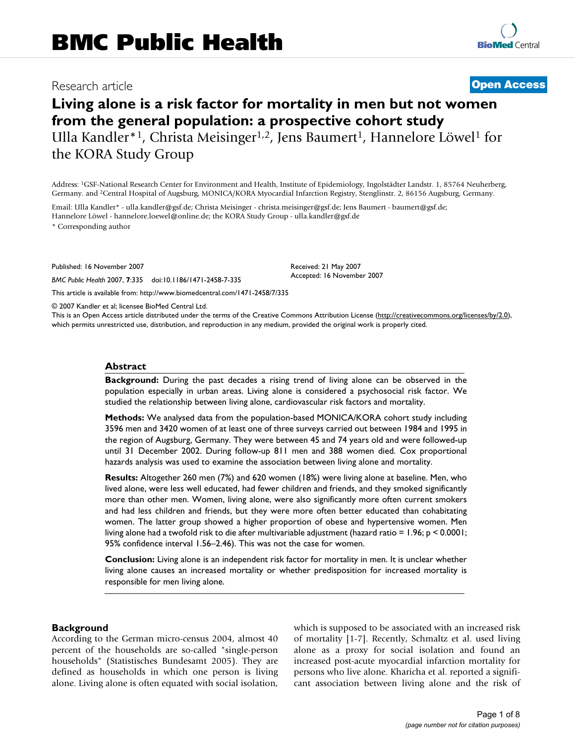## Research article **[Open Access](http://www.biomedcentral.com/info/about/charter/)**

# **Living alone is a risk factor for mortality in men but not women from the general population: a prospective cohort study** Ulla Kandler<sup>\*1</sup>, Christa Meisinger<sup>1,2</sup>, Jens Baumert<sup>1</sup>, Hannelore Löwel<sup>1</sup> for the KORA Study Group

Address: 1GSF-National Research Center for Environment and Health, Institute of Epidemiology, Ingolstädter Landstr. 1, 85764 Neuherberg, Germany. and 2Central Hospital of Augsburg, MONICA/KORA Myocardial Infarction Registry, Stenglinstr. 2, 86156 Augsburg, Germany.

Email: Ulla Kandler\* - ulla.kandler@gsf.de; Christa Meisinger - christa.meisinger@gsf.de; Jens Baumert - baumert@gsf.de; Hannelore Löwel - hannelore.loewel@online.de; the KORA Study Group - ulla.kandler@gsf.de

\* Corresponding author

Published: 16 November 2007

*BMC Public Health* 2007, **7**:335 doi:10.1186/1471-2458-7-335

[This article is available from: http://www.biomedcentral.com/1471-2458/7/335](http://www.biomedcentral.com/1471-2458/7/335)

© 2007 Kandler et al; licensee BioMed Central Ltd.

This is an Open Access article distributed under the terms of the Creative Commons Attribution License [\(http://creativecommons.org/licenses/by/2.0\)](http://creativecommons.org/licenses/by/2.0), which permits unrestricted use, distribution, and reproduction in any medium, provided the original work is properly cited.

Received: 21 May 2007 Accepted: 16 November 2007

## **Abstract**

**Background:** During the past decades a rising trend of living alone can be observed in the population especially in urban areas. Living alone is considered a psychosocial risk factor. We studied the relationship between living alone, cardiovascular risk factors and mortality.

**Methods:** We analysed data from the population-based MONICA/KORA cohort study including 3596 men and 3420 women of at least one of three surveys carried out between 1984 and 1995 in the region of Augsburg, Germany. They were between 45 and 74 years old and were followed-up until 31 December 2002. During follow-up 811 men and 388 women died. Cox proportional hazards analysis was used to examine the association between living alone and mortality.

**Results:** Altogether 260 men (7%) and 620 women (18%) were living alone at baseline. Men, who lived alone, were less well educated, had fewer children and friends, and they smoked significantly more than other men. Women, living alone, were also significantly more often current smokers and had less children and friends, but they were more often better educated than cohabitating women. The latter group showed a higher proportion of obese and hypertensive women. Men living alone had a twofold risk to die after multivariable adjustment (hazard ratio = 1.96; p < 0.0001; 95% confidence interval 1.56–2.46). This was not the case for women.

**Conclusion:** Living alone is an independent risk factor for mortality in men. It is unclear whether living alone causes an increased mortality or whether predisposition for increased mortality is responsible for men living alone.

## **Background**

According to the German micro-census 2004, almost 40 percent of the households are so-called "single-person households" (Statistisches Bundesamt 2005). They are defined as households in which one person is living alone. Living alone is often equated with social isolation, which is supposed to be associated with an increased risk of mortality [1-7]. Recently, Schmaltz et al. used living alone as a proxy for social isolation and found an increased post-acute myocardial infarction mortality for persons who live alone. Kharicha et al. reported a significant association between living alone and the risk of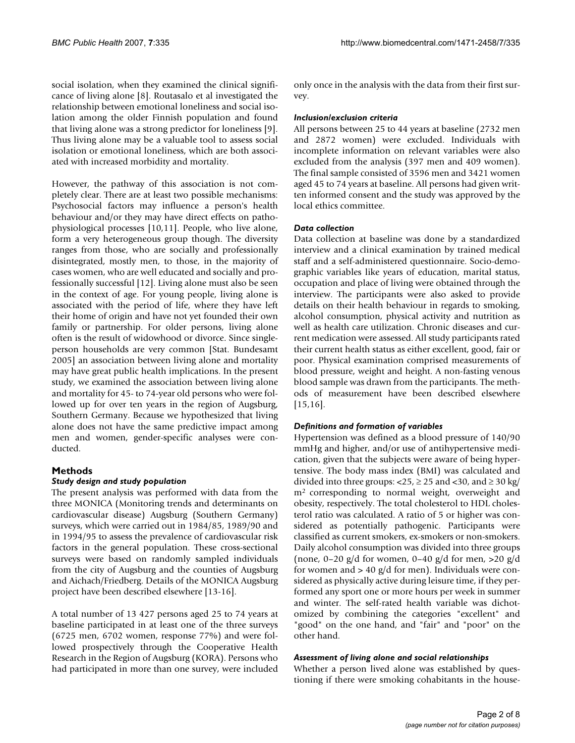social isolation, when they examined the clinical significance of living alone [8]. Routasalo et al investigated the relationship between emotional loneliness and social isolation among the older Finnish population and found that living alone was a strong predictor for loneliness [9]. Thus living alone may be a valuable tool to assess social isolation or emotional loneliness, which are both associated with increased morbidity and mortality.

However, the pathway of this association is not completely clear. There are at least two possible mechanisms: Psychosocial factors may influence a person's health behaviour and/or they may have direct effects on pathophysiological processes [10,11]. People, who live alone, form a very heterogeneous group though. The diversity ranges from those, who are socially and professionally disintegrated, mostly men, to those, in the majority of cases women, who are well educated and socially and professionally successful [12]. Living alone must also be seen in the context of age. For young people, living alone is associated with the period of life, where they have left their home of origin and have not yet founded their own family or partnership. For older persons, living alone often is the result of widowhood or divorce. Since singleperson households are very common [Stat. Bundesamt 2005] an association between living alone and mortality may have great public health implications. In the present study, we examined the association between living alone and mortality for 45- to 74-year old persons who were followed up for over ten years in the region of Augsburg, Southern Germany. Because we hypothesized that living alone does not have the same predictive impact among men and women, gender-specific analyses were conducted.

## **Methods**

## *Study design and study population*

The present analysis was performed with data from the three MONICA (Monitoring trends and determinants on cardiovascular disease) Augsburg (Southern Germany) surveys, which were carried out in 1984/85, 1989/90 and in 1994/95 to assess the prevalence of cardiovascular risk factors in the general population. These cross-sectional surveys were based on randomly sampled individuals from the city of Augsburg and the counties of Augsburg and Aichach/Friedberg. Details of the MONICA Augsburg project have been described elsewhere [13-16].

A total number of 13 427 persons aged 25 to 74 years at baseline participated in at least one of the three surveys (6725 men, 6702 women, response 77%) and were followed prospectively through the Cooperative Health Research in the Region of Augsburg (KORA). Persons who had participated in more than one survey, were included only once in the analysis with the data from their first survey.

## *Inclusion/exclusion criteria*

All persons between 25 to 44 years at baseline (2732 men and 2872 women) were excluded. Individuals with incomplete information on relevant variables were also excluded from the analysis (397 men and 409 women). The final sample consisted of 3596 men and 3421 women aged 45 to 74 years at baseline. All persons had given written informed consent and the study was approved by the local ethics committee.

## *Data collection*

Data collection at baseline was done by a standardized interview and a clinical examination by trained medical staff and a self-administered questionnaire. Socio-demographic variables like years of education, marital status, occupation and place of living were obtained through the interview. The participants were also asked to provide details on their health behaviour in regards to smoking, alcohol consumption, physical activity and nutrition as well as health care utilization. Chronic diseases and current medication were assessed. All study participants rated their current health status as either excellent, good, fair or poor. Physical examination comprised measurements of blood pressure, weight and height. A non-fasting venous blood sample was drawn from the participants. The methods of measurement have been described elsewhere [15,16].

## *Definitions and formation of variables*

Hypertension was defined as a blood pressure of 140/90 mmHg and higher, and/or use of antihypertensive medication, given that the subjects were aware of being hypertensive. The body mass index (BMI) was calculated and divided into three groups:  $\langle 25, \geq 25 \rangle$  and  $\langle 30, \text{ and } \geq 30 \text{ kg} \rangle$ m<sup>2</sup> corresponding to normal weight, overweight and obesity, respectively. The total cholesterol to HDL cholesterol ratio was calculated. A ratio of 5 or higher was considered as potentially pathogenic. Participants were classified as current smokers, ex-smokers or non-smokers. Daily alcohol consumption was divided into three groups (none, 0–20 g/d for women, 0–40 g/d for men, >20 g/d for women and  $> 40$  g/d for men). Individuals were considered as physically active during leisure time, if they performed any sport one or more hours per week in summer and winter. The self-rated health variable was dichotomized by combining the categories "excellent" and "good" on the one hand, and "fair" and "poor" on the other hand.

## *Assessment of living alone and social relationships*

Whether a person lived alone was established by questioning if there were smoking cohabitants in the house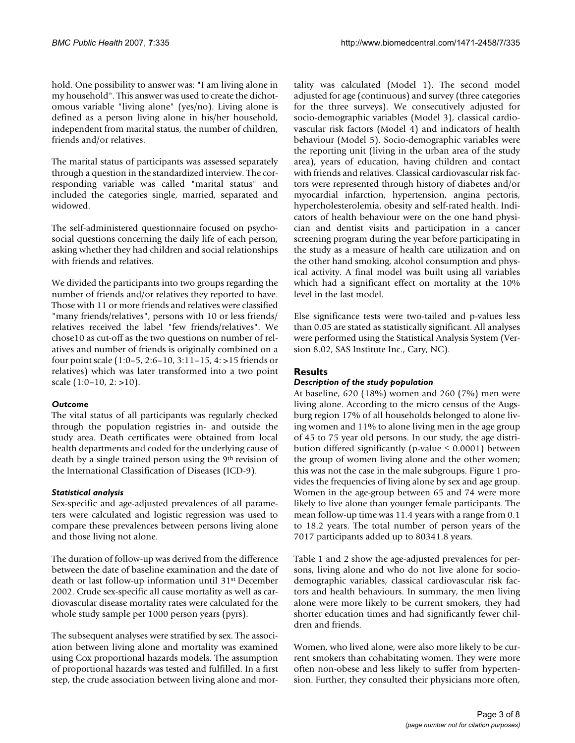hold. One possibility to answer was: "I am living alone in my household". This answer was used to create the dichotomous variable "living alone" (yes/no). Living alone is defined as a person living alone in his/her household, independent from marital status, the number of children, friends and/or relatives.

The marital status of participants was assessed separately through a question in the standardized interview. The corresponding variable was called "marital status" and included the categories single, married, separated and widowed.

The self-administered questionnaire focused on psychosocial questions concerning the daily life of each person, asking whether they had children and social relationships with friends and relatives.

We divided the participants into two groups regarding the number of friends and/or relatives they reported to have. Those with 11 or more friends and relatives were classified "many friends/relatives", persons with 10 or less friends/ relatives received the label "few friends/relatives". We chose10 as cut-off as the two questions on number of relatives and number of friends is originally combined on a four point scale (1:0–5, 2:6–10, 3:11–15, 4: >15 friends or relatives) which was later transformed into a two point scale  $(1:0-10, 2: >10)$ .

## *Outcome*

The vital status of all participants was regularly checked through the population registries in- and outside the study area. Death certificates were obtained from local health departments and coded for the underlying cause of death by a single trained person using the 9<sup>th</sup> revision of the International Classification of Diseases (ICD-9).

## *Statistical analysis*

Sex-specific and age-adjusted prevalences of all parameters were calculated and logistic regression was used to compare these prevalences between persons living alone and those living not alone.

The duration of follow-up was derived from the difference between the date of baseline examination and the date of death or last follow-up information until 31st December 2002. Crude sex-specific all cause mortality as well as cardiovascular disease mortality rates were calculated for the whole study sample per 1000 person years (pyrs).

The subsequent analyses were stratified by sex. The association between living alone and mortality was examined using Cox proportional hazards models. The assumption of proportional hazards was tested and fulfilled. In a first step, the crude association between living alone and mortality was calculated (Model 1). The second model adjusted for age (continuous) and survey (three categories for the three surveys). We consecutively adjusted for socio-demographic variables (Model 3), classical cardiovascular risk factors (Model 4) and indicators of health behaviour (Model 5). Socio-demographic variables were the reporting unit (living in the urban area of the study area), years of education, having children and contact with friends and relatives. Classical cardiovascular risk factors were represented through history of diabetes and/or myocardial infarction, hypertension, angina pectoris, hypercholesterolemia, obesity and self-rated health. Indicators of health behaviour were on the one hand physician and dentist visits and participation in a cancer screening program during the year before participating in the study as a measure of health care utilization and on the other hand smoking, alcohol consumption and physical activity. A final model was built using all variables which had a significant effect on mortality at the 10% level in the last model.

Else significance tests were two-tailed and p-values less than 0.05 are stated as statistically significant. All analyses were performed using the Statistical Analysis System (Version 8.02, SAS Institute Inc., Cary, NC).

## **Results**

## *Description of the study population*

At baseline, 620 (18%) women and 260 (7%) men were living alone. According to the micro census of the Augsburg region 17% of all households belonged to alone living women and 11% to alone living men in the age group of 45 to 75 year old persons. In our study, the age distribution differed significantly (p-value  $\leq 0.0001$ ) between the group of women living alone and the other women; this was not the case in the male subgroups. Figure 1 provides the frequencies of living alone by sex and age group. Women in the age-group between 65 and 74 were more likely to live alone than younger female participants. The mean follow-up time was 11.4 years with a range from 0.1 to 18.2 years. The total number of person years of the 7017 participants added up to 80341.8 years.

Table 1 and 2 show the age-adjusted prevalences for persons, living alone and who do not live alone for sociodemographic variables, classical cardiovascular risk factors and health behaviours. In summary, the men living alone were more likely to be current smokers, they had shorter education times and had significantly fewer children and friends.

Women, who lived alone, were also more likely to be current smokers than cohabitating women. They were more often non-obese and less likely to suffer from hypertension. Further, they consulted their physicians more often,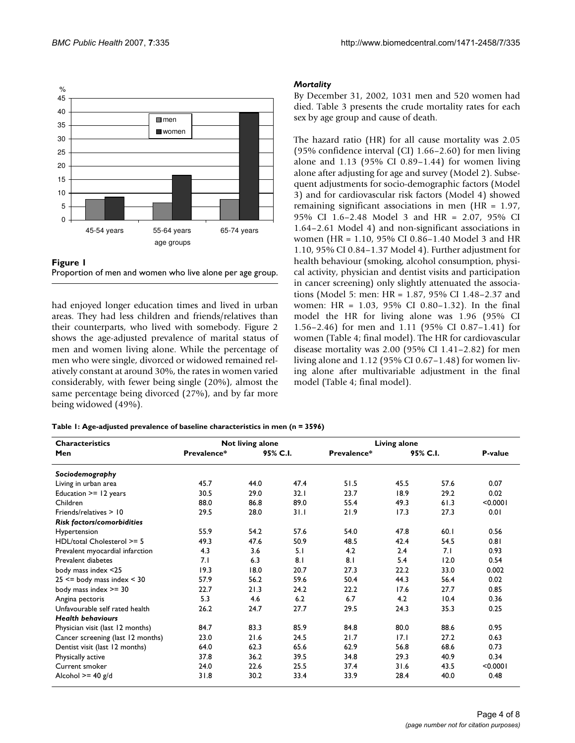

### **Figure 1**

Proportion of men and women who live alone per age group.

had enjoyed longer education times and lived in urban areas. They had less children and friends/relatives than their counterparts, who lived with somebody. Figure 2 shows the age-adjusted prevalence of marital status of men and women living alone. While the percentage of men who were single, divorced or widowed remained relatively constant at around 30%, the rates in women varied considerably, with fewer being single (20%), almost the same percentage being divorced (27%), and by far more being widowed (49%).

## *Mortality*

By December 31, 2002, 1031 men and 520 women had died. Table 3 presents the crude mortality rates for each sex by age group and cause of death.

The hazard ratio (HR) for all cause mortality was 2.05 (95% confidence interval (CI) 1.66–2.60) for men living alone and 1.13 (95% CI 0.89–1.44) for women living alone after adjusting for age and survey (Model 2). Subsequent adjustments for socio-demographic factors (Model 3) and for cardiovascular risk factors (Model 4) showed remaining significant associations in men (HR = 1.97, 95% CI 1.6–2.48 Model 3 and HR = 2.07, 95% CI 1.64–2.61 Model 4) and non-significant associations in women (HR = 1.10, 95% CI 0.86–1.40 Model 3 and HR 1.10, 95% CI 0.84–1.37 Model 4). Further adjustment for health behaviour (smoking, alcohol consumption, physical activity, physician and dentist visits and participation in cancer screening) only slightly attenuated the associations (Model 5: men: HR = 1.87, 95% CI 1.48–2.37 and women: HR = 1.03, 95% CI 0.80–1.32). In the final model the HR for living alone was 1.96 (95% CI 1.56–2.46) for men and 1.11 (95% CI 0.87–1.41) for women (Table 4; final model). The HR for cardiovascular disease mortality was 2.00 (95% CI 1.41–2.82) for men living alone and 1.12 (95% CI 0.67–1.48) for women living alone after multivariable adjustment in the final model (Table 4; final model).

| Table 1: Age-adjusted prevalence of baseline characteristics in men (n = 3596) |  |  |  |  |  |  |
|--------------------------------------------------------------------------------|--|--|--|--|--|--|
|--------------------------------------------------------------------------------|--|--|--|--|--|--|

| <b>Characteristics</b>            |             | Not living alone |      | <b>Living alone</b> |          |      |          |
|-----------------------------------|-------------|------------------|------|---------------------|----------|------|----------|
| Men                               | Prevalence* | 95% C.I.         |      | Prevalence*         | 95% C.I. |      | P-value  |
| Sociodemography                   |             |                  |      |                     |          |      |          |
| Living in urban area              | 45.7        | 44.0             | 47.4 | 51.5                | 45.5     | 57.6 | 0.07     |
| Education $>= 12$ years           | 30.5        | 29.0             | 32.1 | 23.7                | 18.9     | 29.2 | 0.02     |
| Children                          | 88.0        | 86.8             | 89.0 | 55.4                | 49.3     | 61.3 | < 0.0001 |
| Friends/relatives > 10            | 29.5        | 28.0             | 31.1 | 21.9                | 17.3     | 27.3 | 0.01     |
| <b>Risk factors/comorbidities</b> |             |                  |      |                     |          |      |          |
| Hypertension                      | 55.9        | 54.2             | 57.6 | 54.0                | 47.8     | 60.1 | 0.56     |
| HDL/total Cholesterol >= 5        | 49.3        | 47.6             | 50.9 | 48.5                | 42.4     | 54.5 | 0.81     |
| Prevalent myocardial infarction   | 4.3         | 3.6              | 5.1  | 4.2                 | 2.4      | 7.1  | 0.93     |
| Prevalent diabetes                | 7.1         | 6.3              | 8.1  | 8.1                 | 5.4      | 12.0 | 0.54     |
| body mass index <25               | 19.3        | 18.0             | 20.7 | 27.3                | 22.2     | 33.0 | 0.002    |
| $25 \le$ body mass index $\le$ 30 | 57.9        | 56.2             | 59.6 | 50.4                | 44.3     | 56.4 | 0.02     |
| body mass index $>=$ 30           | 22.7        | 21.3             | 24.2 | 22.2                | 17.6     | 27.7 | 0.85     |
| Angina pectoris                   | 5.3         | 4.6              | 6.2  | 6.7                 | 4.2      | 10.4 | 0.36     |
| Unfavourable self rated health    | 26.2        | 24.7             | 27.7 | 29.5                | 24.3     | 35.3 | 0.25     |
| <b>Health behaviours</b>          |             |                  |      |                     |          |      |          |
| Physician visit (last 12 months)  | 84.7        | 83.3             | 85.9 | 84.8                | 80.0     | 88.6 | 0.95     |
| Cancer screening (last 12 months) | 23.0        | 21.6             | 24.5 | 21.7                | 17.1     | 27.2 | 0.63     |
| Dentist visit (last 12 months)    | 64.0        | 62.3             | 65.6 | 62.9                | 56.8     | 68.6 | 0.73     |
| Physically active                 | 37.8        | 36.2             | 39.5 | 34.8                | 29.3     | 40.9 | 0.34     |
| Current smoker                    | 24.0        | 22.6             | 25.5 | 37.4                | 31.6     | 43.5 | < 0.0001 |
| Alcohol $>=$ 40 g/d               | 31.8        | 30.2             | 33.4 | 33.9                | 28.4     | 40.0 | 0.48     |

Page 4 of 8 *(page number not for citation purposes)*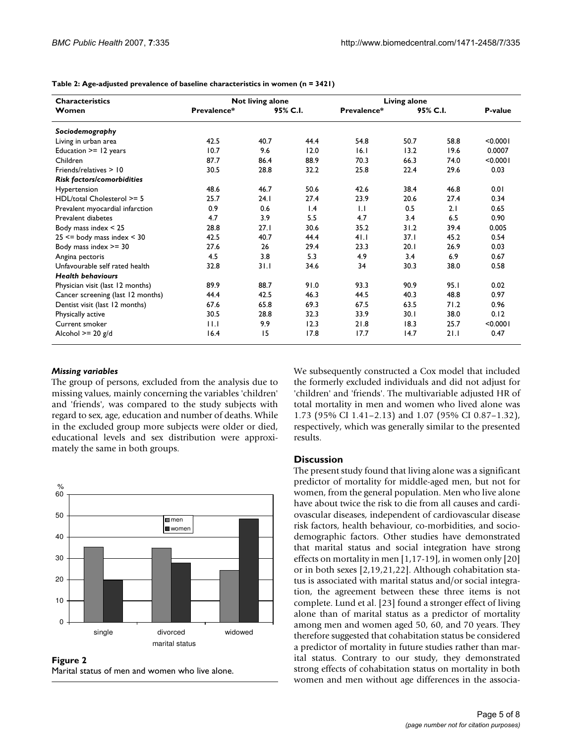**Table 2: Age-adjusted prevalence of baseline characteristics in women (n = 3421)**

| <b>Characteristics</b>            |             | Not living alone |      | Living alone | P-value |          |          |
|-----------------------------------|-------------|------------------|------|--------------|---------|----------|----------|
| Women                             | Prevalence* | 95% C.I.         |      | Prevalence*  |         | 95% C.I. |          |
| Sociodemography                   |             |                  |      |              |         |          |          |
| Living in urban area              | 42.5        | 40.7             | 44.4 | 54.8         | 50.7    | 58.8     | < 0.0001 |
| Education $>= 12$ years           | 10.7        | 9.6              | 12.0 | 16.1         | 13.2    | 19.6     | 0.0007   |
| Children                          | 87.7        | 86.4             | 88.9 | 70.3         | 66.3    | 74.0     | < 0.0001 |
| Friends/relatives > 10            | 30.5        | 28.8             | 32.2 | 25.8         | 22.4    | 29.6     | 0.03     |
| <b>Risk factors/comorbidities</b> |             |                  |      |              |         |          |          |
| Hypertension                      | 48.6        | 46.7             | 50.6 | 42.6         | 38.4    | 46.8     | 0.01     |
| HDL/total Cholesterol >= 5        | 25.7        | 24.1             | 27.4 | 23.9         | 20.6    | 27.4     | 0.34     |
| Prevalent myocardial infarction   | 0.9         | 0.6              | 1.4  | 1.1          | 0.5     | 2.1      | 0.65     |
| Prevalent diabetes                | 4.7         | 3.9              | 5.5  | 4.7          | 3.4     | 6.5      | 0.90     |
| Body mass index $<$ 25            | 28.8        | 27.1             | 30.6 | 35.2         | 31.2    | 39.4     | 0.005    |
| $25 \le$ body mass index $\le$ 30 | 42.5        | 40.7             | 44.4 | 41.1         | 37.1    | 45.2     | 0.54     |
| Body mass index >= 30             | 27.6        | 26               | 29.4 | 23.3         | 20.1    | 26.9     | 0.03     |
| Angina pectoris                   | 4.5         | 3.8              | 5.3  | 4.9          | 3.4     | 6.9      | 0.67     |
| Unfavourable self rated health    | 32.8        | 31.1             | 34.6 | 34           | 30.3    | 38.0     | 0.58     |
| <b>Health behaviours</b>          |             |                  |      |              |         |          |          |
| Physician visit (last 12 months)  | 89.9        | 88.7             | 91.0 | 93.3         | 90.9    | 95.1     | 0.02     |
| Cancer screening (last 12 months) | 44.4        | 42.5             | 46.3 | 44.5         | 40.3    | 48.8     | 0.97     |
| Dentist visit (last 12 months)    | 67.6        | 65.8             | 69.3 | 67.5         | 63.5    | 71.2     | 0.96     |
| Physically active                 | 30.5        | 28.8             | 32.3 | 33.9         | 30.1    | 38.0     | 0.12     |
| Current smoker                    | 11.1        | 9.9              | 12.3 | 21.8         | 18.3    | 25.7     | < 0.0001 |
| Alcohol $>= 20$ g/d               | 16.4        | 15               | 17.8 | 17.7         | 14.7    | 21.1     | 0.47     |

## *Missing variables*

The group of persons, excluded from the analysis due to missing values, mainly concerning the variables 'children' and 'friends', was compared to the study subjects with regard to sex, age, education and number of deaths. While in the excluded group more subjects were older or died, educational levels and sex distribution were approximately the same in both groups.



**Figure 2** Marital status of men and women who live alone.

We subsequently constructed a Cox model that included the formerly excluded individuals and did not adjust for 'children' and 'friends'. The multivariable adjusted HR of total mortality in men and women who lived alone was 1.73 (95% CI 1.41–2.13) and 1.07 (95% CI 0.87–1.32), respectively, which was generally similar to the presented results.

## **Discussion**

The present study found that living alone was a significant predictor of mortality for middle-aged men, but not for women, from the general population. Men who live alone have about twice the risk to die from all causes and cardiovascular diseases, independent of cardiovascular disease risk factors, health behaviour, co-morbidities, and sociodemographic factors. Other studies have demonstrated that marital status and social integration have strong effects on mortality in men [1,17-19], in women only [20] or in both sexes [2,19,21,22]. Although cohabitation status is associated with marital status and/or social integration, the agreement between these three items is not complete. Lund et al. [23] found a stronger effect of living alone than of marital status as a predictor of mortality among men and women aged 50, 60, and 70 years. They therefore suggested that cohabitation status be considered a predictor of mortality in future studies rather than marital status. Contrary to our study, they demonstrated strong effects of cohabitation status on mortality in both women and men without age differences in the associa-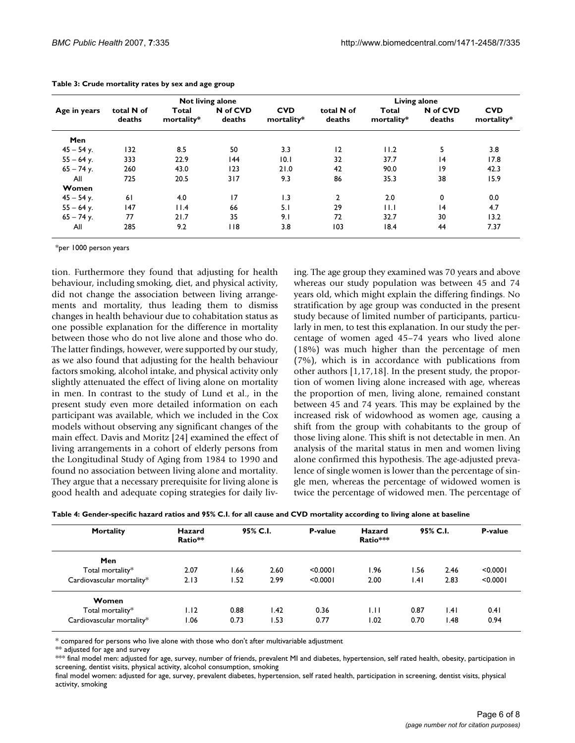|              |                      |            | Not living alone<br>N of CVD<br>total N of<br><b>CVD</b><br>Total<br>mortality*<br>deaths<br>deaths<br>8.5<br>50<br>3.3<br>12<br>11.2<br>32<br>37.7<br>22.9<br>144<br>10.1<br>42<br>123<br>90.0<br>43.0<br>21.0<br>9.3<br>86<br>35.3<br>20.5<br>317 |     | Living alone   |                     |                    |                          |
|--------------|----------------------|------------|-----------------------------------------------------------------------------------------------------------------------------------------------------------------------------------------------------------------------------------------------------|-----|----------------|---------------------|--------------------|--------------------------|
| Age in years | total N of<br>deaths | mortality* |                                                                                                                                                                                                                                                     |     |                | Total<br>mortality* | N of CVD<br>deaths | <b>CVD</b><br>mortality* |
| Men          |                      |            |                                                                                                                                                                                                                                                     |     |                |                     |                    |                          |
| $45 - 54$ y. | 132                  |            |                                                                                                                                                                                                                                                     |     |                |                     | 5                  | 3.8                      |
| $55 - 64$ y. | 333                  |            |                                                                                                                                                                                                                                                     |     |                |                     | 4                  | 17.8                     |
| $65 - 74$ y. | 260                  |            |                                                                                                                                                                                                                                                     |     |                |                     | 9                  | 42.3                     |
| All          | 725                  |            |                                                                                                                                                                                                                                                     |     |                |                     | 38                 | 15.9                     |
| Women        |                      |            |                                                                                                                                                                                                                                                     |     |                |                     |                    |                          |
| $45 - 54$ y. | 61                   | 4.0        | 17                                                                                                                                                                                                                                                  | 1.3 | $\overline{2}$ | 2.0                 | 0                  | 0.0                      |
| $55 - 64$ y. | 147                  | 11.4       | 66                                                                                                                                                                                                                                                  | 5.1 | 29             | 11.1                | 4                  | 4.7                      |
| $65 - 74$ y. | 77                   | 21.7       | 35                                                                                                                                                                                                                                                  | 9.1 | 72             | 32.7                | 30                 | 13.2                     |
| All          | 285                  | 9.2        | 118                                                                                                                                                                                                                                                 | 3.8 | 103            | 18.4                | 44                 | 7.37                     |

**Table 3: Crude mortality rates by sex and age group**

\*per 1000 person years

tion. Furthermore they found that adjusting for health behaviour, including smoking, diet, and physical activity, did not change the association between living arrangements and mortality, thus leading them to dismiss changes in health behaviour due to cohabitation status as one possible explanation for the difference in mortality between those who do not live alone and those who do. The latter findings, however, were supported by our study, as we also found that adjusting for the health behaviour factors smoking, alcohol intake, and physical activity only slightly attenuated the effect of living alone on mortality in men. In contrast to the study of Lund et al., in the present study even more detailed information on each participant was available, which we included in the Cox models without observing any significant changes of the main effect. Davis and Moritz [24] examined the effect of living arrangements in a cohort of elderly persons from the Longitudinal Study of Aging from 1984 to 1990 and found no association between living alone and mortality. They argue that a necessary prerequisite for living alone is good health and adequate coping strategies for daily living. The age group they examined was 70 years and above whereas our study population was between 45 and 74 years old, which might explain the differing findings. No stratification by age group was conducted in the present study because of limited number of participants, particularly in men, to test this explanation. In our study the percentage of women aged 45–74 years who lived alone (18%) was much higher than the percentage of men (7%), which is in accordance with publications from other authors [1,17,18]. In the present study, the proportion of women living alone increased with age, whereas the proportion of men, living alone, remained constant between 45 and 74 years. This may be explained by the increased risk of widowhood as women age, causing a shift from the group with cohabitants to the group of those living alone. This shift is not detectable in men. An analysis of the marital status in men and women living alone confirmed this hypothesis. The age-adjusted prevalence of single women is lower than the percentage of single men, whereas the percentage of widowed women is twice the percentage of widowed men. The percentage of

| Table 4: Gender-specific hazard ratios and 95% C.I. for all cause and CVD mortality according to living alone at baseline |  |  |  |
|---------------------------------------------------------------------------------------------------------------------------|--|--|--|
|                                                                                                                           |  |  |  |

| <b>Mortality</b>          | <b>Hazard</b><br>Ratio** | 95% C.I. |      | P-value  | Hazard<br>Ratio*** | 95% C.I. |      | P-value  |
|---------------------------|--------------------------|----------|------|----------|--------------------|----------|------|----------|
| Men                       |                          |          |      |          |                    |          |      |          |
| Total mortality*          | 2.07                     | .66      | 2.60 | < 0.0001 | I.96               | .56      | 2.46 | < 0.0001 |
| Cardiovascular mortality* | 2.13                     | 1.52     | 2.99 | < 0.0001 | 2.00               | ا4.      | 2.83 | < 0.0001 |
| Women                     |                          |          |      |          |                    |          |      |          |
| Total mortality*          | 1.12                     | 0.88     | 1.42 | 0.36     | l.II               | 0.87     | .4   | 0.41     |
| Cardiovascular mortality* | I.06                     | 0.73     | 1.53 | 0.77     | 1.02               | 0.70     | l.48 | 0.94     |

\* compared for persons who live alone with those who don't after multivariable adjustment

\*\* adjusted for age and survey

\*\*\* final model men: adjusted for age, survey, number of friends, prevalent MI and diabetes, hypertension, self rated health, obesity, participation in screening, dentist visits, physical activity, alcohol consumption, smoking

final model women: adjusted for age, survey, prevalent diabetes, hypertension, self rated health, participation in screening, dentist visits, physical activity, smoking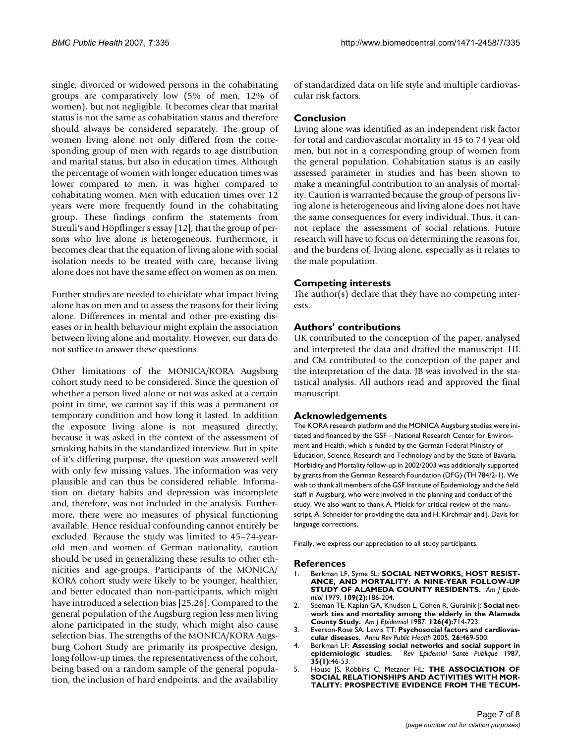single, divorced or widowed persons in the cohabitating groups are comparatively low (5% of men, 12% of women), but not negligible. It becomes clear that marital status is not the same as cohabitation status and therefore should always be considered separately. The group of women living alone not only differed from the corresponding group of men with regards to age distribution and marital status, but also in education times. Although the percentage of women with longer education times was lower compared to men, it was higher compared to cohabitating women. Men with education times over 12 years were more frequently found in the cohabitating group. These findings confirm the statements from Streuli's and Höpflinger's essay [12], that the group of persons who live alone is heterogeneous. Furthermore, it becomes clear that the equation of living alone with social isolation needs to be treated with care, because living alone does not have the same effect on women as on men.

Further studies are needed to elucidate what impact living alone has on men and to assess the reasons for their living alone. Differences in mental and other pre-existing diseases or in health behaviour might explain the association between living alone and mortality. However, our data do not suffice to answer these questions.

Other limitations of the MONICA/KORA Augsburg cohort study need to be considered. Since the question of whether a person lived alone or not was asked at a certain point in time, we cannot say if this was a permanent or temporary condition and how long it lasted. In addition the exposure living alone is not measured directly, because it was asked in the context of the assessment of smoking habits in the standardized interview. But in spite of it's differing purpose, the question was answered well with only few missing values. The information was very plausible and can thus be considered reliable. Information on dietary habits and depression was incomplete and, therefore, was not included in the analysis. Furthermore, there were no measures of physical functioning available. Hence residual confounding cannot entirely be excluded. Because the study was limited to 45–74-yearold men and women of German nationality, caution should be used in generalizing these results to other ethnicities and age-groups. Participants of the MONICA/ KORA cohort study were likely to be younger, healthier, and better educated than non-participants, which might have introduced a selection bias [25,26]. Compared to the general population of the Augsburg region less men living alone participated in the study, which might also cause selection bias. The strengths of the MONICA/KORA Augsburg Cohort Study are primarily its prospective design, long follow-up times, the representativeness of the cohort, being based on a random sample of the general population, the inclusion of hard endpoints, and the availability of standardized data on life style and multiple cardiovascular risk factors.

## **Conclusion**

Living alone was identified as an independent risk factor for total and cardiovascular mortality in 45 to 74 year old men, but not in a corresponding group of women from the general population. Cohabitation status is an easily assessed parameter in studies and has been shown to make a meaningful contribution to an analysis of mortality. Caution is warranted because the group of persons living alone is heterogeneous and living alone does not have the same consequences for every individual. Thus, it cannot replace the assessment of social relations. Future research will have to focus on determining the reasons for, and the burdens of, living alone, especially as it relates to the male population.

## **Competing interests**

The author(s) declare that they have no competing interests.

## **Authors' contributions**

UK contributed to the conception of the paper, analysed and interpreted the data and drafted the manuscript. HL and CM contributed to the conception of the paper and the interpretation of the data. JB was involved in the statistical analysis. All authors read and approved the final manuscript.

## **Acknowledgements**

The KORA research platform and the MONICA Augsburg studies were initiated and financed by the GSF – National Research Center for Environment and Health, which is funded by the German Federal Ministry of Education, Science, Research and Technology and by the State of Bavaria. Morbidity and Mortality follow-up in 2002/2003 was additionally supported by grants from the German Research Foundation (DFG) (TH 784/2-1). We wish to thank all members of the GSF Institute of Epidemiology and the field staff in Augsburg, who were involved in the planning and conduct of the study. We also want to thank A. Mielck for critical review of the manuscript, A. Schneider for providing the data and H. Kirchmair and J. Davis for language corrections.

Finally, we express our appreciation to all study participants.

## **References**

- Berkman LF, Syme SL: **[SOCIAL NETWORKS, HOST RESIST-](http://www.ncbi.nlm.nih.gov/entrez/query.fcgi?cmd=Retrieve&db=PubMed&dopt=Abstract&list_uids=425958)[ANCE, AND MORTALITY: A NINE-YEAR FOLLOW-UP](http://www.ncbi.nlm.nih.gov/entrez/query.fcgi?cmd=Retrieve&db=PubMed&dopt=Abstract&list_uids=425958) [STUDY OF ALAMEDA COUNTY RESIDENTS.](http://www.ncbi.nlm.nih.gov/entrez/query.fcgi?cmd=Retrieve&db=PubMed&dopt=Abstract&list_uids=425958)** *Am J Epidemiol* 1979, **109(2):**186-204.
- 2. Seeman TE, Kaplan GA, Knudsen L, Cohen R, Guralnik J: **[Social net](http://www.ncbi.nlm.nih.gov/entrez/query.fcgi?cmd=Retrieve&db=PubMed&dopt=Abstract&list_uids=3631060)[work ties and mortality among the elderly in the Alameda](http://www.ncbi.nlm.nih.gov/entrez/query.fcgi?cmd=Retrieve&db=PubMed&dopt=Abstract&list_uids=3631060) [County Study.](http://www.ncbi.nlm.nih.gov/entrez/query.fcgi?cmd=Retrieve&db=PubMed&dopt=Abstract&list_uids=3631060)** *Am J Epidemiol* 1987, **126(4):**714-723.
- 3. Everson-Rose SA, Lewis TT: **[Psychosocial factors and cardiovas](http://www.ncbi.nlm.nih.gov/entrez/query.fcgi?cmd=Retrieve&db=PubMed&dopt=Abstract&list_uids=15760298)[cular diseases.](http://www.ncbi.nlm.nih.gov/entrez/query.fcgi?cmd=Retrieve&db=PubMed&dopt=Abstract&list_uids=15760298)** *Annu Rev Public Health* 2005, **26:**469-500.
- 4. Berkman LF: **[Assessing social networks and social support in](http://www.ncbi.nlm.nih.gov/entrez/query.fcgi?cmd=Retrieve&db=PubMed&dopt=Abstract&list_uids=3589077) [epidemiologic studies.](http://www.ncbi.nlm.nih.gov/entrez/query.fcgi?cmd=Retrieve&db=PubMed&dopt=Abstract&list_uids=3589077)** *Rev Epidemiol Sante Publique* 1987, **35(1):**46-53.
- 5. House JS, Robbins C, Metzner HL: **[THE ASSOCIATION OF](http://www.ncbi.nlm.nih.gov/entrez/query.fcgi?cmd=Retrieve&db=PubMed&dopt=Abstract&list_uids=7102648) [SOCIAL RELATIONSHIPS AND ACTIVITIES WITH MOR-](http://www.ncbi.nlm.nih.gov/entrez/query.fcgi?cmd=Retrieve&db=PubMed&dopt=Abstract&list_uids=7102648)[TALITY: PROSPECTIVE EVIDENCE FROM THE TECUM](http://www.ncbi.nlm.nih.gov/entrez/query.fcgi?cmd=Retrieve&db=PubMed&dopt=Abstract&list_uids=7102648)-**